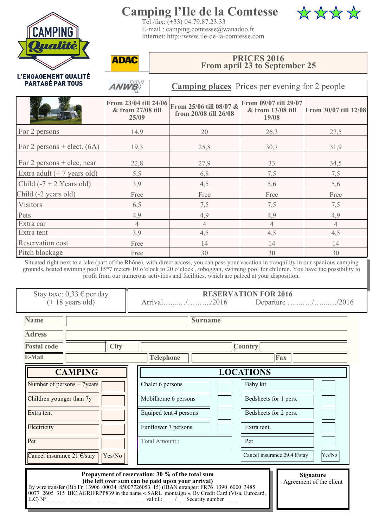

# **Camping l'Ile de la Comtesse**





**ADAC** 

ANWE

#### **PRICES 2016 From april 23 to September 25**

L'ENGAGEMENT QUALITÉ **PARTAGÉ PAR TOUS** 

**Camping places** Prices per evening for 2 people

|                                                                                                                                                                                                                 | From 23/04 till 24/06<br>& from 27/08 till<br>25/09                                                   |                     | From 25/06 till 08/07 &<br>from 20/08 till 26/08 |                 | From 09/07 till 29/07<br>& from 13/08 till<br>19/08 | From 30/07 till 12/08                                                                                                                        |                  |                         |  |
|-----------------------------------------------------------------------------------------------------------------------------------------------------------------------------------------------------------------|-------------------------------------------------------------------------------------------------------|---------------------|--------------------------------------------------|-----------------|-----------------------------------------------------|----------------------------------------------------------------------------------------------------------------------------------------------|------------------|-------------------------|--|
| For 2 persons                                                                                                                                                                                                   | 14,9                                                                                                  |                     |                                                  | 20              |                                                     | 26,3                                                                                                                                         |                  | 27,5                    |  |
| For 2 persons $+$ elect. (6A)                                                                                                                                                                                   | 19,3                                                                                                  |                     |                                                  | 25,8            |                                                     | 30,7                                                                                                                                         |                  | 31,9                    |  |
| For 2 persons $+$ elec, near                                                                                                                                                                                    | 22,8                                                                                                  |                     |                                                  | 27,9            |                                                     | 33                                                                                                                                           |                  | 34,5                    |  |
| Extra adult $(+ 7$ years old)                                                                                                                                                                                   | 5,5                                                                                                   |                     |                                                  | 6,8             |                                                     | 7,5                                                                                                                                          | 7,5              |                         |  |
| Child $(-7 + 2$ Years old)                                                                                                                                                                                      | 3,9                                                                                                   |                     |                                                  | 4,5             |                                                     | 5,6                                                                                                                                          | 5,6              |                         |  |
| Child (-2 years old)                                                                                                                                                                                            | Free                                                                                                  |                     |                                                  | Free            |                                                     | Free                                                                                                                                         | Free             |                         |  |
| <b>Visitors</b>                                                                                                                                                                                                 | 6,5                                                                                                   |                     |                                                  | 7,5             |                                                     | 7,5                                                                                                                                          | 7,5              |                         |  |
| Pets                                                                                                                                                                                                            | 4,9                                                                                                   |                     |                                                  | 4,9             |                                                     | 4,9                                                                                                                                          | 4,9              |                         |  |
| Extra car                                                                                                                                                                                                       | $\overline{4}$                                                                                        |                     | $\overline{4}$                                   |                 | $\overline{4}$                                      |                                                                                                                                              | $\overline{4}$   |                         |  |
| Extra tent                                                                                                                                                                                                      | 3,9                                                                                                   |                     |                                                  | 4,5             |                                                     | 4,5                                                                                                                                          | 4,5              |                         |  |
| <b>Reservation cost</b>                                                                                                                                                                                         | Free                                                                                                  |                     |                                                  | 14              |                                                     | 14                                                                                                                                           |                  | 14                      |  |
| Pitch blockage                                                                                                                                                                                                  | Free                                                                                                  |                     |                                                  | 30              |                                                     | 30<br>30                                                                                                                                     |                  |                         |  |
| Stay taxe: 0,33 € per day<br>$(+ 18$ years old)                                                                                                                                                                 |                                                                                                       |                     |                                                  | Arrival//2016   |                                                     | profit from our numerous activities and facilities, which are palced at your disposition.<br><b>RESERVATION FOR 2016</b><br>Departure //2016 |                  |                         |  |
| <b>Name</b>                                                                                                                                                                                                     |                                                                                                       |                     |                                                  | <b>Surname</b>  |                                                     |                                                                                                                                              |                  |                         |  |
| <b>Adress</b><br><b>Postal code</b>                                                                                                                                                                             | <b>City</b><br><b>Country</b>                                                                         |                     |                                                  |                 |                                                     |                                                                                                                                              |                  |                         |  |
| E-Mail                                                                                                                                                                                                          | <b>Telephone</b><br>Fax                                                                               |                     |                                                  |                 |                                                     |                                                                                                                                              |                  |                         |  |
| <b>CAMPING</b>                                                                                                                                                                                                  |                                                                                                       |                     |                                                  |                 |                                                     | <b>LOCATIONS</b>                                                                                                                             |                  |                         |  |
| Number of persons + 7years                                                                                                                                                                                      |                                                                                                       | Chalet 6 persons    |                                                  |                 |                                                     | Baby kit                                                                                                                                     |                  |                         |  |
| Children younger than 7y                                                                                                                                                                                        |                                                                                                       | Mobilhome 6 persons |                                                  |                 | Bedsheets for 1 pers.                               |                                                                                                                                              |                  |                         |  |
| Equiped tent 4 persons<br>Extra tent                                                                                                                                                                            |                                                                                                       |                     |                                                  |                 |                                                     | Bedsheets for 2 pers.                                                                                                                        |                  |                         |  |
| Funflower 7 persons<br>Electricity                                                                                                                                                                              |                                                                                                       |                     |                                                  |                 |                                                     | Extra tent.                                                                                                                                  |                  |                         |  |
| Pet                                                                                                                                                                                                             | Total Amount:                                                                                         |                     |                                                  |                 |                                                     | Pet                                                                                                                                          |                  |                         |  |
| Cancel insurance 21 €/stay<br>Yes/No                                                                                                                                                                            |                                                                                                       |                     |                                                  |                 |                                                     | Cancel insurance 29,4 $\epsilon$ /stay                                                                                                       |                  | Yes/No                  |  |
| By wire transfer (Rib Fr 13906 00034 85007726053 15) (IBAN etranger: FR76 1390 6000 3485<br>0077 2605 315 BIC:AGRIFRPP839 in the name « SARL montaigu ». By Credit Card (Visa, Eurocard,<br>E.C) N <sup>o</sup> | Prepayment of reservation: 30 % of the total sum<br>(the left over sum can be paid upon your arrival) | val till:           |                                                  | Security number |                                                     |                                                                                                                                              | <b>Signature</b> | Agreement of the client |  |